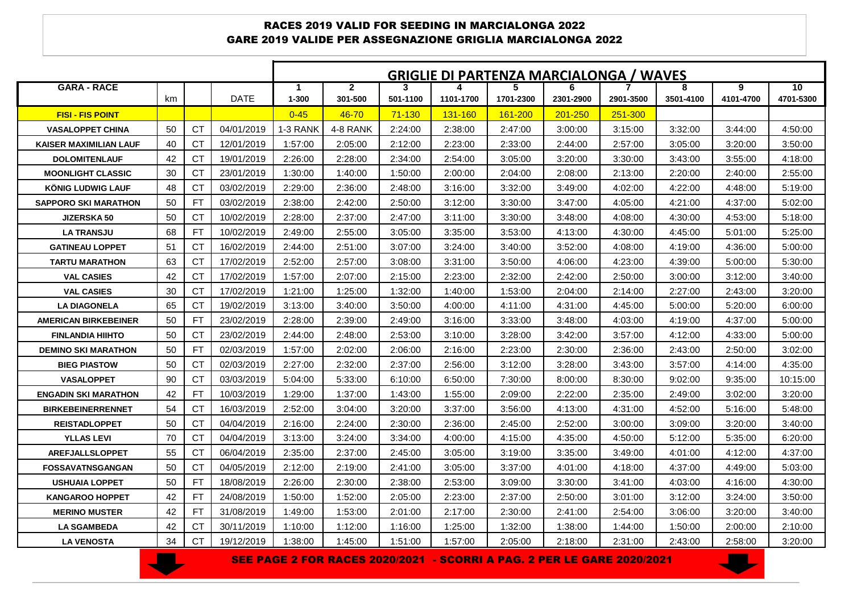## RACES 2019 VALID FOR SEEDING IN MARCIALONGA 2022 GARE 2019 VALIDE PER ASSEGNAZIONE GRIGLIA MARCIALONGA 2022

|                             |    |           |             | <b>GRIGLIE DI PARTENZA MARCIALONGA / WAVES</b> |                |            |                  |                 |           |           |           |           |           |
|-----------------------------|----|-----------|-------------|------------------------------------------------|----------------|------------|------------------|-----------------|-----------|-----------|-----------|-----------|-----------|
| <b>GARA - RACE</b>          |    |           |             | 1                                              | $\overline{2}$ | 3          |                  | 5.              | 6         |           | 8         | 9         | 10        |
|                             | km |           | <b>DATE</b> | $1 - 300$                                      | 301-500        | 501-1100   | 1101-1700        | 1701-2300       | 2301-2900 | 2901-3500 | 3501-4100 | 4101-4700 | 4701-5300 |
| <b>FISI - FIS POINT</b>     |    |           |             | $0 - 45$                                       | 46-70          | $71 - 130$ | <u> 131-160 </u> | <u> 161-200</u> | 201-250   | 251-300   |           |           |           |
| <b>VASALOPPET CHINA</b>     | 50 | СT        | 04/01/2019  | 1-3 RANK                                       | 4-8 RANK       | 2:24:00    | 2:38:00          | 2:47:00         | 3:00:00   | 3:15:00   | 3:32:00   | 3:44:00   | 4:50:00   |
| KAISER MAXIMILIAN LAUF      | 40 | <b>CT</b> | 12/01/2019  | 1:57:00                                        | 2:05:00        | 2:12:00    | 2:23:00          | 2:33:00         | 2:44:00   | 2:57:00   | 3:05:00   | 3:20:00   | 3:50:00   |
| <b>DOLOMITENLAUF</b>        | 42 | <b>CT</b> | 19/01/2019  | 2:26:00                                        | 2:28:00        | 2:34:00    | 2:54:00          | 3:05:00         | 3:20:00   | 3:30:00   | 3:43:00   | 3:55:00   | 4:18:00   |
| <b>MOONLIGHT CLASSIC</b>    | 30 | <b>CT</b> | 23/01/2019  | 1:30:00                                        | 1:40:00        | 1:50:00    | 2:00:00          | 2:04:00         | 2:08:00   | 2:13:00   | 2:20:00   | 2:40:00   | 2:55:00   |
| KÖNIG LUDWIG LAUF           | 48 | <b>CT</b> | 03/02/2019  | 2:29:00                                        | 2:36:00        | 2:48:00    | 3:16:00          | 3:32:00         | 3:49:00   | 4:02:00   | 4:22:00   | 4:48:00   | 5:19:00   |
| <b>SAPPORO SKI MARATHON</b> | 50 | FT        | 03/02/2019  | 2:38:00                                        | 2:42:00        | 2:50:00    | 3:12:00          | 3:30:00         | 3:47:00   | 4:05:00   | 4:21:00   | 4:37:00   | 5:02:00   |
| <b>JIZERSKA 50</b>          | 50 | <b>CT</b> | 10/02/2019  | 2:28:00                                        | 2:37:00        | 2:47:00    | 3:11:00          | 3:30:00         | 3:48:00   | 4:08:00   | 4:30:00   | 4:53:00   | 5:18:00   |
| <b>LA TRANSJU</b>           | 68 | FT        | 10/02/2019  | 2:49:00                                        | 2:55:00        | 3:05:00    | 3:35:00          | 3:53:00         | 4:13:00   | 4:30:00   | 4:45:00   | 5:01:00   | 5:25:00   |
| <b>GATINEAU LOPPET</b>      | 51 | <b>CT</b> | 16/02/2019  | 2:44:00                                        | 2:51:00        | 3:07:00    | 3:24:00          | 3:40:00         | 3:52:00   | 4:08:00   | 4:19:00   | 4:36:00   | 5:00:00   |
| <b>TARTU MARATHON</b>       | 63 | <b>CT</b> | 17/02/2019  | 2:52:00                                        | 2:57:00        | 3:08:00    | 3:31:00          | 3:50:00         | 4:06:00   | 4:23:00   | 4:39:00   | 5:00:00   | 5:30:00   |
| <b>VAL CASIES</b>           | 42 | <b>CT</b> | 17/02/2019  | 1:57:00                                        | 2:07:00        | 2:15:00    | 2:23:00          | 2:32:00         | 2:42:00   | 2:50:00   | 3:00:00   | 3:12:00   | 3:40:00   |
| <b>VAL CASIES</b>           | 30 | <b>CT</b> | 17/02/2019  | 1:21:00                                        | 1:25:00        | 1:32:00    | 1:40:00          | 1:53:00         | 2:04:00   | 2:14:00   | 2:27:00   | 2:43:00   | 3:20:00   |
| <b>LA DIAGONELA</b>         | 65 | <b>CT</b> | 19/02/2019  | 3:13:00                                        | 3:40:00        | 3:50:00    | 4:00:00          | 4:11:00         | 4:31:00   | 4:45:00   | 5:00:00   | 5:20:00   | 6:00:00   |
| <b>AMERICAN BIRKEBEINER</b> | 50 | <b>FT</b> | 23/02/2019  | 2:28:00                                        | 2:39:00        | 2:49:00    | 3:16:00          | 3:33:00         | 3:48:00   | 4:03:00   | 4:19:00   | 4:37:00   | 5:00:00   |
| <b>FINLANDIA HIIHTO</b>     | 50 | <b>CT</b> | 23/02/2019  | 2:44:00                                        | 2:48:00        | 2:53:00    | 3:10:00          | 3:28:00         | 3:42:00   | 3:57:00   | 4:12:00   | 4:33:00   | 5:00:00   |
| <b>DEMINO SKI MARATHON</b>  | 50 | <b>FT</b> | 02/03/2019  | 1:57:00                                        | 2:02:00        | 2:06:00    | 2:16:00          | 2:23:00         | 2:30:00   | 2:36:00   | 2:43:00   | 2:50:00   | 3:02:00   |
| <b>BIEG PIASTOW</b>         | 50 | <b>CT</b> | 02/03/2019  | 2:27:00                                        | 2:32:00        | 2:37:00    | 2:56:00          | 3:12:00         | 3:28:00   | 3:43:00   | 3:57:00   | 4:14:00   | 4:35:00   |
| <b>VASALOPPET</b>           | 90 | <b>CT</b> | 03/03/2019  | 5:04:00                                        | 5:33:00        | 6:10:00    | 6:50:00          | 7:30:00         | 8:00:00   | 8:30:00   | 9:02:00   | 9:35:00   | 10:15:00  |
| <b>ENGADIN SKI MARATHON</b> | 42 | FT        | 10/03/2019  | 1:29:00                                        | 1:37:00        | 1:43:00    | 1:55:00          | 2:09:00         | 2:22:00   | 2:35:00   | 2:49:00   | 3:02:00   | 3:20:00   |
| <b>BIRKEBEINERRENNET</b>    | 54 | <b>CT</b> | 16/03/2019  | 2:52:00                                        | 3:04:00        | 3:20:00    | 3:37:00          | 3:56:00         | 4:13:00   | 4:31:00   | 4:52:00   | 5:16:00   | 5:48:00   |
| <b>REISTADLOPPET</b>        | 50 | <b>CT</b> | 04/04/2019  | 2:16:00                                        | 2:24:00        | 2:30:00    | 2:36:00          | 2:45:00         | 2:52:00   | 3:00:00   | 3:09:00   | 3:20:00   | 3:40:00   |
| <b>YLLAS LEVI</b>           | 70 | <b>CT</b> | 04/04/2019  | 3:13:00                                        | 3:24:00        | 3:34:00    | 4:00:00          | 4:15:00         | 4:35:00   | 4:50:00   | 5:12:00   | 5:35:00   | 6:20:00   |
| <b>AREFJALLSLOPPET</b>      | 55 | <b>CT</b> | 06/04/2019  | 2:35:00                                        | 2:37:00        | 2:45:00    | 3:05:00          | 3:19:00         | 3:35:00   | 3:49:00   | 4:01:00   | 4:12:00   | 4:37:00   |
| <b>FOSSAVATNSGANGAN</b>     | 50 | <b>CT</b> | 04/05/2019  | 2:12:00                                        | 2:19:00        | 2:41:00    | 3:05:00          | 3:37:00         | 4:01:00   | 4:18:00   | 4:37:00   | 4:49:00   | 5:03:00   |
| <b>USHUAIA LOPPET</b>       | 50 | <b>FT</b> | 18/08/2019  | 2:26:00                                        | 2:30:00        | 2:38:00    | 2:53:00          | 3:09:00         | 3:30:00   | 3:41:00   | 4:03:00   | 4:16:00   | 4:30:00   |
| <b>KANGAROO HOPPET</b>      | 42 | <b>FT</b> | 24/08/2019  | 1:50:00                                        | 1:52:00        | 2:05:00    | 2:23:00          | 2:37:00         | 2:50:00   | 3:01:00   | 3:12:00   | 3:24:00   | 3:50:00   |
| <b>MERINO MUSTER</b>        | 42 | FT        | 31/08/2019  | 1:49:00                                        | 1:53:00        | 2:01:00    | 2:17:00          | 2:30:00         | 2:41:00   | 2:54:00   | 3:06:00   | 3:20:00   | 3:40:00   |
| <b>LA SGAMBEDA</b>          | 42 | СT        | 30/11/2019  | 1:10:00                                        | 1:12:00        | 1:16:00    | 1:25:00          | 1:32:00         | 1:38:00   | 1:44:00   | 1:50:00   | 2:00:00   | 2:10:00   |
| <b>LA VENOSTA</b>           | 34 | <b>CT</b> | 19/12/2019  | 1:38:00                                        | 1:45:00        | 1:51:00    | 1:57:00          | 2:05:00         | 2:18:00   | 2:31:00   | 2:43:00   | 2:58:00   | 3:20:00   |



SEE PAGE 2 FOR RACES 2020/2021 - SCORRI A PAG. 2 PER LE GARE 2020/2021